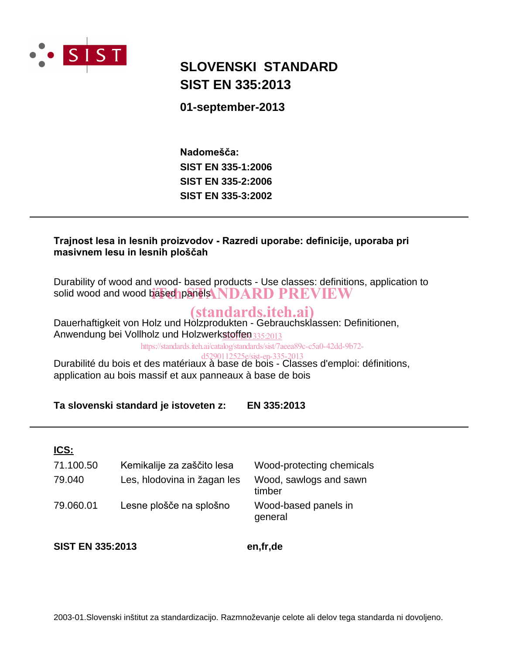

# **SIST EN 335:2013 SLOVENSKI STANDARD**

**01-september-2013**

**SIST EN 335-3:2002 SIST EN 335-2:2006 SIST EN 335-1:2006** Nadomešča:

### Trajnost lesa in lesnih proizvodov - Razredi uporabe: definicije, uporaba pri **masivnem lesu in lesnih ploščah**

Durability of wood and wood- based products - Use classes: definitions, application to solid wood and wood based panels NDARD PREVIEW

## (standards.iteh.ai)

Dauerhaftigkeit von Holz und Holzprodukten - Gebrauchsklassen: Definitionen, Anwendung bei Vollholz und Holzwerkstoffen 335:2013

https://standards.iteh.ai/catalog/standards/sist/7aeea89c-c5a0-42dd-9b72-

d5290112525e/sist-en-335-2013

Durabilité du bois et des matériaux à base de bois - Classes d'emploi: définitions, application au bois massif et aux panneaux à base de bois

**Ta slovenski standard je istoveten z: EN 335:2013**

### **ICS:**

| 71.100.50 | Kemikalije za zaščito lesa  | Wood-protecting chemicals        |
|-----------|-----------------------------|----------------------------------|
| 79.040    | Les, hlodovina in žagan les | Wood, sawlogs and sawn<br>timber |
| 79.060.01 | Lesne plošče na splošno     | Wood-based panels in<br>general  |

**SIST EN 335:2013 en,fr,de**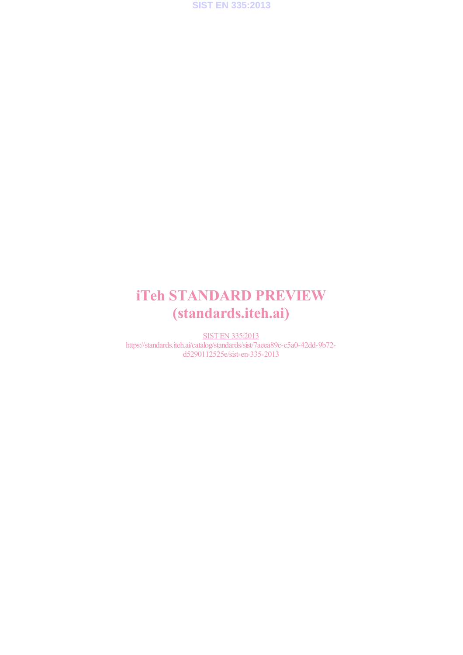

# iTeh STANDARD PREVIEW (standards.iteh.ai)

SIST EN 335:2013 https://standards.iteh.ai/catalog/standards/sist/7aeea89c-c5a0-42dd-9b72 d5290112525e/sist-en-335-2013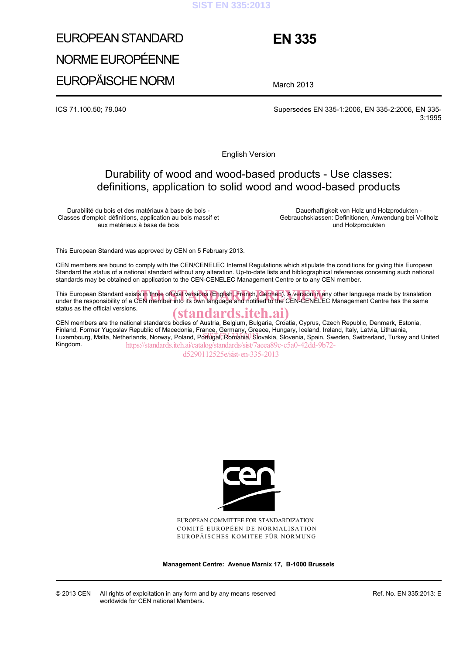#### **SIST EN 335:2013**

# EUROPEAN STANDARD NORME EUROPÉENNE EUROPÄISCHE NORM

## **EN 335**

March 2013

ICS 71.100.50; 79.040 Supersedes EN 335-1:2006, EN 335-2:2006, EN 335- 3:1995

English Version

### Durability of wood and wood-based products - Use classes: definitions, application to solid wood and wood-based products

Durabilité du bois et des matériaux à base de bois - Classes d'emploi: définitions, application au bois massif et aux matériaux à base de bois

Dauerhaftigkeit von Holz und Holzprodukten - Gebrauchsklassen: Definitionen, Anwendung bei Vollholz und Holzprodukten

This European Standard was approved by CEN on 5 February 2013.

CEN members are bound to comply with the CEN/CENELEC Internal Regulations which stipulate the conditions for giving this European Standard the status of a national standard without any alteration. Up-to-date lists and bibliographical references concerning such national standards may be obtained on application to the CEN-CENELEC Management Centre or to any CEN member.

This European Standard exists in three official versions (English, French, German). A version in any other language made by translation<br>under the responsibility of a CEN member into its own language and notified to the CEN under the responsibility of a CEN member into its own language and notified to the CEN-CENELEC Management Centre has the same status as the official versions.

### (standards.iteh.ai)

CEN members are the national standards bodies of Austria, Belgium, Bulgaria, Croatia, Cyprus, Czech Republic, Denmark, Estonia, Finland, Former Yugoslav Republic of Macedonia, France, Germany, Greece, Hungary, Iceland, Ireland, Italy, Latvia, Lithuania, Luxembourg, Malta, Netherlands, Norway, Poland, Portugal, Romania, Slovakia, Slovenia, Spain, Sweden, Switzerland, Turkey and United Luxembourg, Malta, Netherlands, Norway, Poland, Portugal, Romania, Slovenia, Spain, Swede Kingdom. https://standards.iteh.ai/catalog/standards/sist/7aeea89c-c5a0-42dd-9b72-

d5290112525e/sist-en-335-2013



EUROPEAN COMMITTEE FOR STANDARDIZATION COMITÉ EUROPÉEN DE NORMALISATION EUROPÄISCHES KOMITEE FÜR NORMUNG

**Management Centre: Avenue Marnix 17, B-1000 Brussels** 

Ref. No. EN 335:2013: E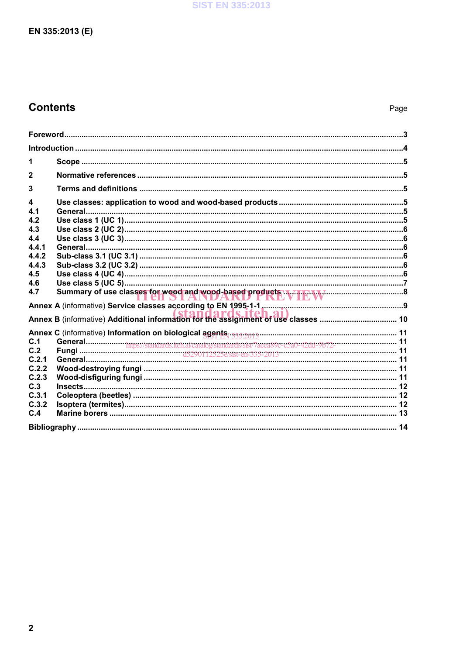## **Contents**

| $\mathbf{2}$                                                          |  |  |  |
|-----------------------------------------------------------------------|--|--|--|
| 3                                                                     |  |  |  |
| 4<br>4.1<br>4.2                                                       |  |  |  |
| 4.3<br>4.4<br>4.4.1                                                   |  |  |  |
| 4.4.2<br>4.4.3<br>4.5                                                 |  |  |  |
| 4.6<br>4.7<br>I UII D'I AINDAKD T'KEVTEW                              |  |  |  |
|                                                                       |  |  |  |
| C.1<br>C.2<br>C.2.1<br>C.2.2<br>C.2.3<br>C.3<br>C.3.1<br>C.3.2<br>C.4 |  |  |  |
|                                                                       |  |  |  |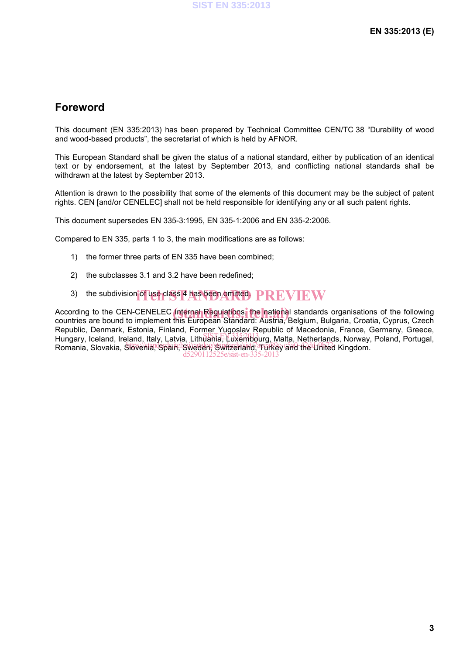### **Foreword**

This document (EN 335:2013) has been prepared by Technical Committee CEN/TC 38 "Durability of wood and wood-based products", the secretariat of which is held by AFNOR.

This European Standard shall be given the status of a national standard, either by publication of an identical text or by endorsement, at the latest by September 2013, and conflicting national standards shall be withdrawn at the latest by September 2013.

Attention is drawn to the possibility that some of the elements of this document may be the subject of patent rights. CEN [and/or CENELEC] shall not be held responsible for identifying any or all such patent rights.

This document supersedes EN 335-3:1995, EN 335-1:2006 and EN 335-2:2006.

Compared to EN 335, parts 1 to 3, the main modifications are as follows:

- 1) the former three parts of EN 335 have been combined;
- 2) the subclasses 3.1 and 3.2 have been redefined;
- 3) the subdivision of use class 4 has been omitted.  $\bf PREVIEW$

According to the CEN-CENELEC Internal Regulations, the national standards organisations of the following<br>countries are bound to implement this European Standard: Austria Belgium, Bulgaria, Croatia, Cyprus, Czech countries are bound to implement this European Standard: Austria, Belgium, Bulgaria, Croatia, Cyprus, Czech Republic, Denmark, Estonia, Finland, Former Yugoslav Republic of Macedonia, France, Germany, Greece, nopasho, Bohmani, Esteria, Timana, Tomper inggasaki persiste or macedonia, Transe, Somianj, Sreese,<br>Hungary, Iceland, Ireland, Italy, Latvia, Lith<del>uania, Luxembo</del>urg, Malta, Netherlands, Norway, Poland, Portugal, https://www.iteh.com/monthlood.com/monthlood.html<br>Romania, Slovakia, Slovenia, Spain, Sweden, Switzerland, Turkey and the United Kingdom. ie/sist-en-<sup>3</sup>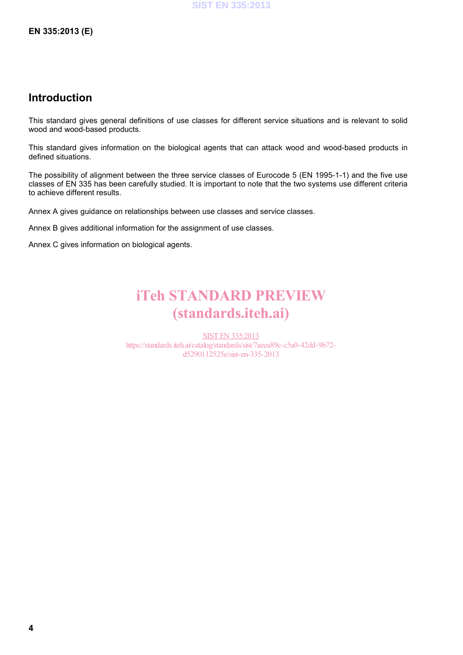### **Introduction**

This standard gives general definitions of use classes for different service situations and is relevant to solid wood and wood-based products.

This standard gives information on the biological agents that can attack wood and wood-based products in defined situations.

The possibility of alignment between the three service classes of Eurocode 5 (EN 1995-1-1) and the five use classes of EN 335 has been carefully studied. It is important to note that the two systems use different criteria to achieve different results.

Annex A gives guidance on relationships between use classes and service classes.

Annex B gives additional information for the assignment of use classes.

Annex C gives information on biological agents.

# iTeh STANDARD PREVIEW (standards.iteh.ai)

SIST EN 335:2013 https://standards.iteh.ai/catalog/standards/sist/7aeea89c-c5a0-42dd-9b72 d5290112525e/sist-en-335-2013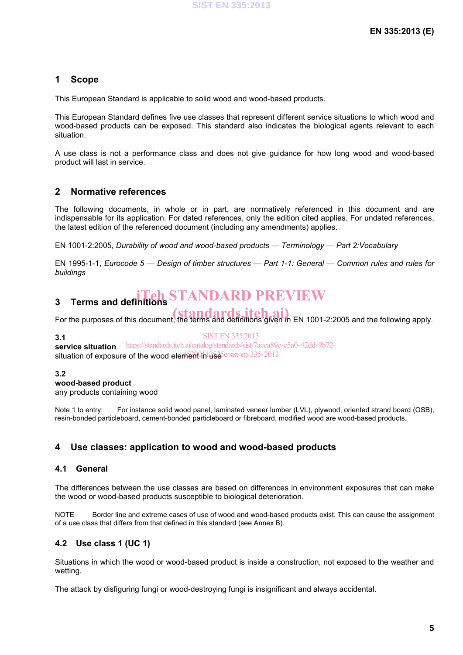#### **1 Scope**

This European Standard is applicable to solid wood and wood-based products.

This European Standard defines five use classes that represent different service situations to which wood and wood-based products can be exposed. This standard also indicates the biological agents relevant to each situation.

A use class is not a performance class and does not give guidance for how long wood and wood-based product will last in service.

#### **2 Normative references**

The following documents, in whole or in part, are normatively referenced in this document and are indispensable for its application. For dated references, only the edition cited applies. For undated references, the latest edition of the referenced document (including any amendments) applies.

EN 1001-2:2005, *Durability of wood and wood-based products — Terminology — Part 2:Vocabulary*

EN 1995-1-1, *Eurocode 5 — Design of timber structures — Part 1-1: General — Common rules and rules for buildings*

# **3 Terms and definitions STANDARD PREVIEW**

For the purposes of this document, the terms and definitions given in EN 1001-2:2005 and the following apply.

**3.1**

SIST EN 335:2013

**service situation** https://standards.iteh.ai/catalog/standards/sist/7aeea89c-c5a0-42dd-9b72 situation of exposure of the wood element in use osist-en-335-2013

#### **3.2**

**wood-based product**

any products containing wood

Note 1 to entry: For instance solid wood panel, laminated veneer lumber (LVL), plywood, oriented strand board (OSB), resin-bonded particleboard, cement-bonded particleboard or fibreboard, modified wood are wood-based products.

#### **4 Use classes: application to wood and wood-based products**

#### **4.1 General**

The differences between the use classes are based on differences in environment exposures that can make the wood or wood-based products susceptible to biological deterioration.

NOTE Border line and extreme cases of use of wood and wood-based products exist. This can cause the assignment of a use class that differs from that defined in this standard (see Annex B).

#### **4.2 Use class 1 (UC 1)**

Situations in which the wood or wood-based product is inside a construction, not exposed to the weather and wetting.

The attack by disfiguring fungi or wood-destroying fungi is insignificant and always accidental.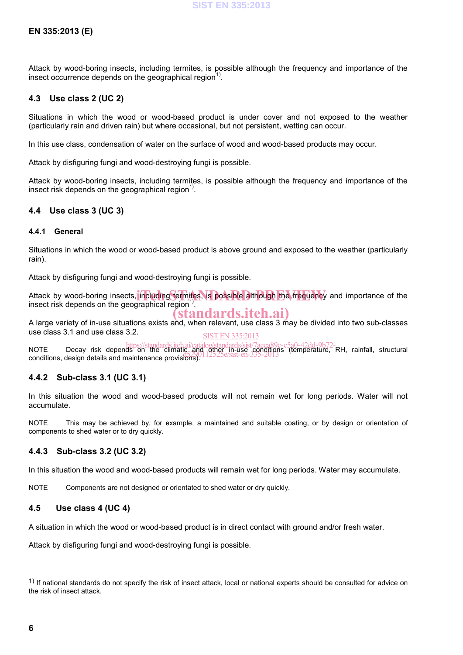Attack by wood-boring insects, including termites, is possible although the frequency and importance of the insect occurrence depends on the geographical region<sup>1)</sup>.

#### **4.3 Use class 2 (UC 2)**

Situations in which the wood or wood-based product is under cover and not exposed to the weather (particularly rain and driven rain) but where occasional, but not persistent, wetting can occur.

In this use class, condensation of water on the surface of wood and wood-based products may occur.

Attack by disfiguring fungi and wood-destroying fungi is possible.

Attack by wood-boring insects, including termites, is possible although the frequency and importance of the insect risk depends on the geographical region $<sup>1</sup>$ .</sup>

#### **4.4 Use class 3 (UC 3)**

#### **4.4.1 General**

Situations in which the wood or wood-based product is above ground and exposed to the weather (particularly rain).

Attack by disfiguring fungi and wood-destroying fungi is possible.

Attack by wood-boring insects, including termites, is possible although the frequency and importance of the insect risk depends on the geographical region<sup>1)</sup>. (standards.iteh.ai)

A large variety of in-use situations exists and, when relevant, use class 3 may be divided into two sub-classes use class 3.1 and use class 3.2. SIST EN 335:2013

NOTE Decay risk depends on the climatic itch ai/catalog/standards/sist/7aeea89c-c5a0-42dd-9b72-<br>NOTE Decay risk depends on the climatic and other in-use conditions (temperature, RH, rainfall, structural conditions, design details and maintenance provisions). d5290112525e/sist-en-335-2013

#### **4.4.2 Sub-class 3.1 (UC 3.1)**

In this situation the wood and wood-based products will not remain wet for long periods. Water will not accumulate.

NOTE This may be achieved by, for example, a maintained and suitable coating, or by design or orientation of components to shed water or to dry quickly.

#### **4.4.3 Sub-class 3.2 (UC 3.2)**

In this situation the wood and wood-based products will remain wet for long periods. Water may accumulate.

NOTE Components are not designed or orientated to shed water or dry quickly.

#### **4.5 Use class 4 (UC 4)**

A situation in which the wood or wood-based product is in direct contact with ground and/or fresh water.

Attack by disfiguring fungi and wood-destroying fungi is possible.

 <sup>1)</sup> If national standards do not specify the risk of insect attack, local or national experts should be consulted for advice on the risk of insect attack.